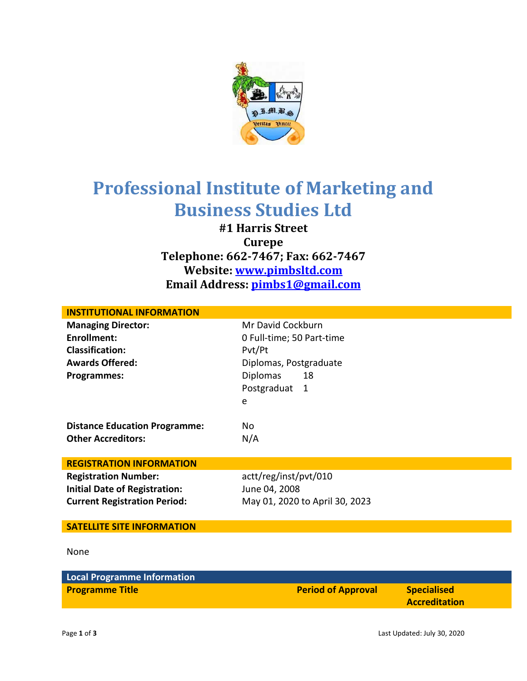

## **Professional Institute of Marketing and Business Studies Ltd**

**#1 Harris Street Curepe Telephone: 662-7467; Fax: 662-7467 Website: [www.pimbsltd.com](http://www.pimbsltd.com/) Email Address: [pimbs1@gmail.com](mailto:pimbs1@gmail.com)**

| <b>INSTITUTIONAL INFORMATION</b>     |                                |  |
|--------------------------------------|--------------------------------|--|
| <b>Managing Director:</b>            | Mr David Cockburn              |  |
| <b>Enrollment:</b>                   | 0 Full-time; 50 Part-time      |  |
| <b>Classification:</b>               | Pvt/Pt                         |  |
| <b>Awards Offered:</b>               | Diplomas, Postgraduate         |  |
| <b>Programmes:</b>                   | <b>Diplomas</b><br>18          |  |
|                                      | Postgraduat<br>-1              |  |
|                                      | e                              |  |
|                                      |                                |  |
| <b>Distance Education Programme:</b> | No                             |  |
| <b>Other Accreditors:</b>            | N/A                            |  |
|                                      |                                |  |
| <b>REGISTRATION INFORMATION</b>      |                                |  |
| <b>Registration Number:</b>          | actt/reg/inst/pvt/010          |  |
| <b>Initial Date of Registration:</b> | June 04, 2008                  |  |
| <b>Current Registration Period:</b>  | May 01, 2020 to April 30, 2023 |  |
|                                      |                                |  |
| <b>SATELLITE SITE INFORMATION</b>    |                                |  |
|                                      |                                |  |
| None                                 |                                |  |
|                                      |                                |  |

| <b>Local Programme Information</b> |                           |                                            |
|------------------------------------|---------------------------|--------------------------------------------|
| <b>Programme Title</b>             | <b>Period of Approval</b> | <b>Specialised</b><br><b>Accreditation</b> |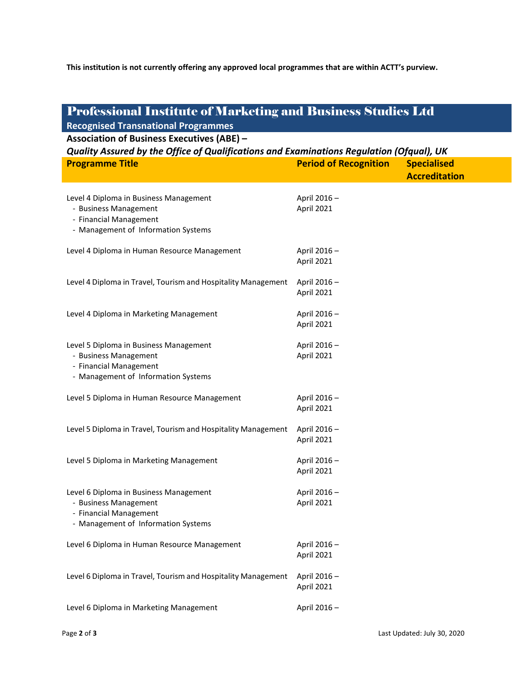**This institution is not currently offering any approved local programmes that are within ACTT's purview.**

## Professional Institute of Marketing and Business Studies Ltd **Recognised Transnational Programmes Association of Business Executives (ABE) –** *Quality Assured by the Office of Qualifications and Examinations Regulation (Ofqual), UK* **Programme Title Period of Recognition Specialised Accreditation** Level 4 Diploma in Business Management - Business Management - Financial Management - Management of Information Systems April 2016 – April 2021 Level 4 Diploma in Human Resource Management April 2016 -April 2021 Level 4 Diploma in Travel, Tourism and Hospitality Management April 2016 -April 2021 Level 4 Diploma in Marketing Management April 2016 – April 2021 Level 5 Diploma in Business Management - Business Management - Financial Management - Management of Information Systems April 2016 – April 2021 Level 5 Diploma in Human Resource Management April 2016 -April 2021 Level 5 Diploma in Travel, Tourism and Hospitality Management April 2016 -April 2021 Level 5 Diploma in Marketing Management April 2016 -April 2021 Level 6 Diploma in Business Management - Business Management - Financial Management - Management of Information Systems April 2016 – April 2021 Level 6 Diploma in Human Resource Management April 2016 – April 2021 Level 6 Diploma in Travel, Tourism and Hospitality Management April 2016 -April 2021 Level 6 Diploma in Marketing Management April 2016 –